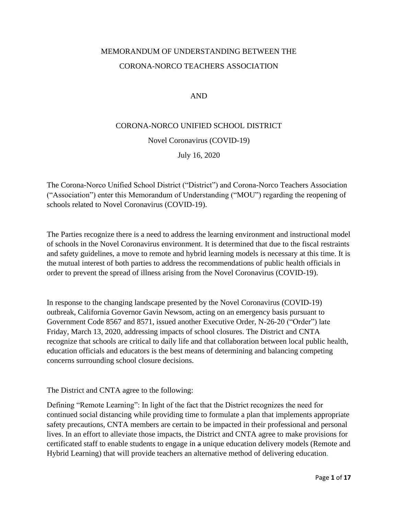# MEMORANDUM OF UNDERSTANDING BETWEEN THE CORONA-NORCO TEACHERS ASSOCIATION

#### AND

#### CORONA-NORCO UNIFIED SCHOOL DISTRICT

#### Novel Coronavirus (COVID-19)

July 16, 2020

The Corona-Norco Unified School District ("District") and Corona-Norco Teachers Association ("Association") enter this Memorandum of Understanding ("MOU") regarding the reopening of schools related to Novel Coronavirus (COVID-19).

The Parties recognize there is a need to address the learning environment and instructional model of schools in the Novel Coronavirus environment. It is determined that due to the fiscal restraints and safety guidelines, a move to remote and hybrid learning models is necessary at this time. It is the mutual interest of both parties to address the recommendations of public health officials in order to prevent the spread of illness arising from the Novel Coronavirus (COVID-19).

In response to the changing landscape presented by the Novel Coronavirus (COVID-19) outbreak, California Governor Gavin Newsom, acting on an emergency basis pursuant to Government Code 8567 and 8571, issued another Executive Order, N-26-20 ("Order") late Friday, March 13, 2020, addressing impacts of school closures. The District and CNTA recognize that schools are critical to daily life and that collaboration between local public health, education officials and educators is the best means of determining and balancing competing concerns surrounding school closure decisions.

The District and CNTA agree to the following:

Defining "Remote Learning": In light of the fact that the District recognizes the need for continued social distancing while providing time to formulate a plan that implements appropriate safety precautions, CNTA members are certain to be impacted in their professional and personal lives. In an effort to alleviate those impacts, the District and CNTA agree to make provisions for certificated staff to enable students to engage in a unique education delivery models (Remote and Hybrid Learning) that will provide teachers an alternative method of delivering education.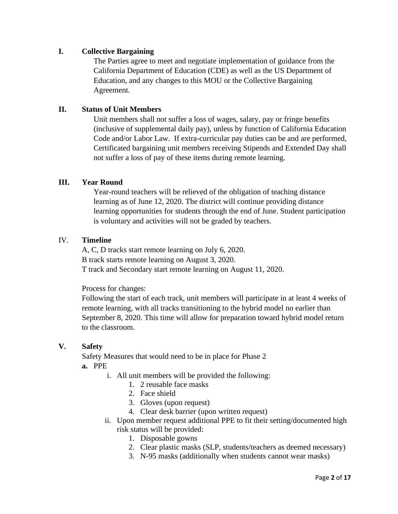## **I. Collective Bargaining**

The Parties agree to meet and negotiate implementation of guidance from the California Department of Education (CDE) as well as the US Department of Education, and any changes to this MOU or the Collective Bargaining Agreement.

### **II. Status of Unit Members**

Unit members shall not suffer a loss of wages, salary, pay or fringe benefits (inclusive of supplemental daily pay), unless by function of California Education Code and/or Labor Law. If extra-curricular pay duties can be and are performed, Certificated bargaining unit members receiving Stipends and Extended Day shall not suffer a loss of pay of these items during remote learning.

#### **III. Year Round**

Year-round teachers will be relieved of the obligation of teaching distance learning as of June 12, 2020. The district will continue providing distance learning opportunities for students through the end of June. Student participation is voluntary and activities will not be graded by teachers.

#### IV. **Timeline**

A, C, D tracks start remote learning on July 6, 2020. B track starts remote learning on August 3, 2020. T track and Secondary start remote learning on August 11, 2020.

Process for changes:

Following the start of each track, unit members will participate in at least 4 weeks of remote learning, with all tracks transitioning to the hybrid model no earlier than September 8, 2020. This time will allow for preparation toward hybrid model return to the classroom.

#### **V. Safety**

Safety Measures that would need to be in place for Phase 2 **a.** PPE

- i. All unit members will be provided the following:
	- 1. 2 reusable face masks
	- 2. Face shield
	- 3. Gloves (upon request)
	- 4. Clear desk barrier (upon written request)
- ii. Upon member request additional PPE to fit their setting/documented high risk status will be provided:
	- 1. Disposable gowns
	- 2. Clear plastic masks (SLP, students/teachers as deemed necessary)
	- 3. N-95 masks (additionally when students cannot wear masks)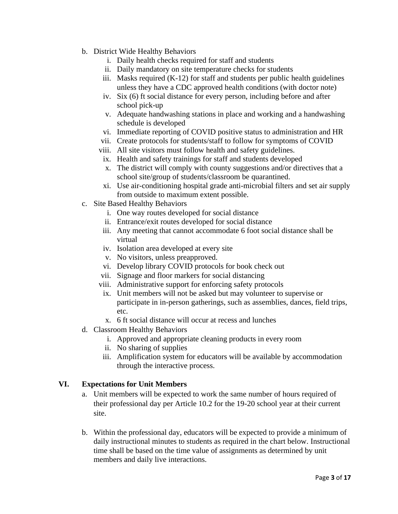- b. District Wide Healthy Behaviors
	- i. Daily health checks required for staff and students
	- ii. Daily mandatory on site temperature checks for students
	- iii. Masks required (K-12) for staff and students per public health guidelines unless they have a CDC approved health conditions (with doctor note)
	- iv. Six (6) ft social distance for every person, including before and after school pick-up
	- v. Adequate handwashing stations in place and working and a handwashing schedule is developed
	- vi. Immediate reporting of COVID positive status to administration and HR
	- vii. Create protocols for students/staff to follow for symptoms of COVID
	- viii. All site visitors must follow health and safety guidelines.
	- ix. Health and safety trainings for staff and students developed
	- x. The district will comply with county suggestions and/or directives that a school site/group of students/classroom be quarantined.
	- xi. Use air-conditioning hospital grade anti-microbial filters and set air supply from outside to maximum extent possible.
- c. Site Based Healthy Behaviors
	- i. One way routes developed for social distance
	- ii. Entrance/exit routes developed for social distance
	- iii. Any meeting that cannot accommodate 6 foot social distance shall be virtual
	- iv. Isolation area developed at every site
	- v. No visitors, unless preapproved.
	- vi. Develop library COVID protocols for book check out
	- vii. Signage and floor markers for social distancing
	- viii. Administrative support for enforcing safety protocols
	- ix. Unit members will not be asked but may volunteer to supervise or participate in in-person gatherings, such as assemblies, dances, field trips, etc.
	- x. 6 ft social distance will occur at recess and lunches
- d. Classroom Healthy Behaviors
	- i. Approved and appropriate cleaning products in every room
	- ii. No sharing of supplies
	- iii. Amplification system for educators will be available by accommodation through the interactive process.

#### **VI. Expectations for Unit Members**

- a. Unit members will be expected to work the same number of hours required of their professional day per Article 10.2 for the 19-20 school year at their current site.
- b. Within the professional day, educators will be expected to provide a minimum of daily instructional minutes to students as required in the chart below. Instructional time shall be based on the time value of assignments as determined by unit members and daily live interactions.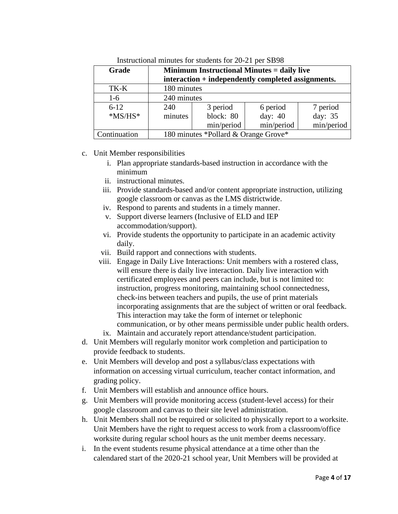| Grade        | <b>Minimum Instructional Minutes = daily live</b>  |            |            |            |
|--------------|----------------------------------------------------|------------|------------|------------|
|              | interaction + independently completed assignments. |            |            |            |
| TK-K         | 180 minutes                                        |            |            |            |
| $1-6$        | 240 minutes                                        |            |            |            |
| $6 - 12$     | 240                                                | 3 period   | 6 period   | 7 period   |
| $*MS/HS*$    | minutes                                            | block: 80  | day: 40    | day: 35    |
|              |                                                    | min/period | min/period | min/period |
| Continuation | 180 minutes *Pollard & Orange Grove*               |            |            |            |

Instructional minutes for students for 20-21 per SB98

#### c. Unit Member responsibilities

- i. Plan appropriate standards-based instruction in accordance with the minimum
- ii. instructional minutes.
- iii. Provide standards-based and/or content appropriate instruction, utilizing google classroom or canvas as the LMS districtwide.
- iv. Respond to parents and students in a timely manner.
- v. Support diverse learners (Inclusive of ELD and IEP accommodation/support).
- vi. Provide students the opportunity to participate in an academic activity daily.
- vii. Build rapport and connections with students.
- viii. Engage in Daily Live Interactions: Unit members with a rostered class, will ensure there is daily live interaction. Daily live interaction with certificated employees and peers can include, but is not limited to: instruction, progress monitoring, maintaining school connectedness, check-ins between teachers and pupils, the use of print materials incorporating assignments that are the subject of written or oral feedback. This interaction may take the form of internet or telephonic communication, or by other means permissible under public health orders.
- ix. Maintain and accurately report attendance/student participation.
- d. Unit Members will regularly monitor work completion and participation to provide feedback to students.
- e. Unit Members will develop and post a syllabus/class expectations with information on accessing virtual curriculum, teacher contact information, and grading policy.
- f. Unit Members will establish and announce office hours.
- g. Unit Members will provide monitoring access (student-level access) for their google classroom and canvas to their site level administration.
- h. Unit Members shall not be required or solicited to physically report to a worksite. Unit Members have the right to request access to work from a classroom/office worksite during regular school hours as the unit member deems necessary.
- i. In the event students resume physical attendance at a time other than the calendared start of the 2020-21 school year, Unit Members will be provided at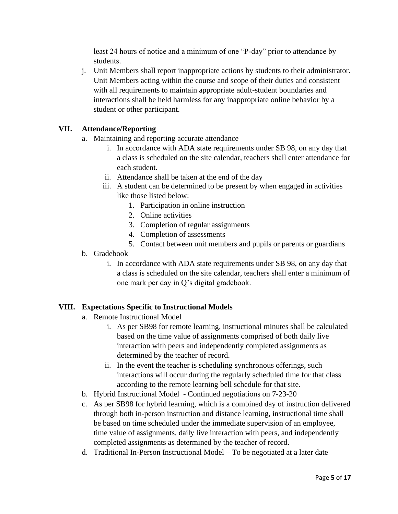least 24 hours of notice and a minimum of one "P-day" prior to attendance by students.

j. Unit Members shall report inappropriate actions by students to their administrator. Unit Members acting within the course and scope of their duties and consistent with all requirements to maintain appropriate adult-student boundaries and interactions shall be held harmless for any inappropriate online behavior by a student or other participant.

# **VII. Attendance/Reporting**

- a. Maintaining and reporting accurate attendance
	- i. In accordance with ADA state requirements under SB 98, on any day that a class is scheduled on the site calendar, teachers shall enter attendance for each student.
	- ii. Attendance shall be taken at the end of the day
	- iii. A student can be determined to be present by when engaged in activities like those listed below:
		- 1. Participation in online instruction
		- 2. Online activities
		- 3. Completion of regular assignments
		- 4. Completion of assessments
		- 5. Contact between unit members and pupils or parents or guardians
- b. Gradebook
	- i. In accordance with ADA state requirements under SB 98, on any day that a class is scheduled on the site calendar, teachers shall enter a minimum of one mark per day in Q's digital gradebook.

# **VIII. Expectations Specific to Instructional Models**

- a. Remote Instructional Model
	- i. As per SB98 for remote learning, instructional minutes shall be calculated based on the time value of assignments comprised of both daily live interaction with peers and independently completed assignments as determined by the teacher of record.
	- ii. In the event the teacher is scheduling synchronous offerings, such interactions will occur during the regularly scheduled time for that class according to the remote learning bell schedule for that site.
- b. Hybrid Instructional Model Continued negotiations on 7-23-20
- c. As per SB98 for hybrid learning, which is a combined day of instruction delivered through both in-person instruction and distance learning, instructional time shall be based on time scheduled under the immediate supervision of an employee, time value of assignments, daily live interaction with peers, and independently completed assignments as determined by the teacher of record.
- d. Traditional In-Person Instructional Model To be negotiated at a later date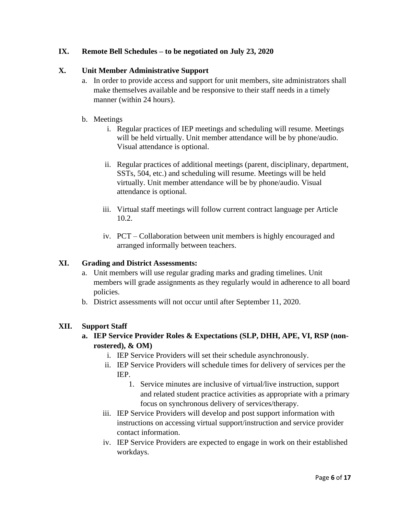## **IX. Remote Bell Schedules – to be negotiated on July 23, 2020**

## **X. Unit Member Administrative Support**

- a. In order to provide access and support for unit members, site administrators shall make themselves available and be responsive to their staff needs in a timely manner (within 24 hours).
- b. Meetings
	- i. Regular practices of IEP meetings and scheduling will resume. Meetings will be held virtually. Unit member attendance will be by phone/audio. Visual attendance is optional.
	- ii. Regular practices of additional meetings (parent, disciplinary, department, SSTs, 504, etc.) and scheduling will resume. Meetings will be held virtually. Unit member attendance will be by phone/audio. Visual attendance is optional.
	- iii. Virtual staff meetings will follow current contract language per Article 10.2.
	- iv. PCT Collaboration between unit members is highly encouraged and arranged informally between teachers.

## **XI. Grading and District Assessments:**

- a. Unit members will use regular grading marks and grading timelines. Unit members will grade assignments as they regularly would in adherence to all board policies.
- b. District assessments will not occur until after September 11, 2020.

## **XII. Support Staff**

# **a. IEP Service Provider Roles & Expectations (SLP, DHH, APE, VI, RSP (nonrostered), & OM)**

- i. IEP Service Providers will set their schedule asynchronously.
- ii. IEP Service Providers will schedule times for delivery of services per the IEP.
	- 1. Service minutes are inclusive of virtual/live instruction, support and related student practice activities as appropriate with a primary focus on synchronous delivery of services/therapy.
- iii. IEP Service Providers will develop and post support information with instructions on accessing virtual support/instruction and service provider contact information.
- iv. IEP Service Providers are expected to engage in work on their established workdays.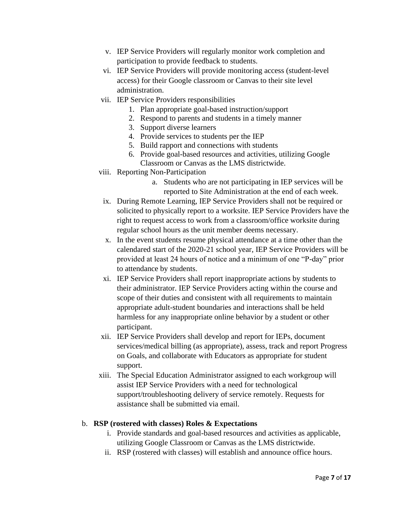- v. IEP Service Providers will regularly monitor work completion and participation to provide feedback to students.
- vi. IEP Service Providers will provide monitoring access (student-level access) for their Google classroom or Canvas to their site level administration.
- vii. IEP Service Providers responsibilities
	- 1. Plan appropriate goal-based instruction/support
	- 2. Respond to parents and students in a timely manner
	- 3. Support diverse learners
	- 4. Provide services to students per the IEP
	- 5. Build rapport and connections with students
	- 6. Provide goal-based resources and activities, utilizing Google Classroom or Canvas as the LMS districtwide.
- viii. Reporting Non-Participation
	- a. Students who are not participating in IEP services will be reported to Site Administration at the end of each week.
	- ix. During Remote Learning, IEP Service Providers shall not be required or solicited to physically report to a worksite. IEP Service Providers have the right to request access to work from a classroom/office worksite during regular school hours as the unit member deems necessary.
	- x. In the event students resume physical attendance at a time other than the calendared start of the 2020-21 school year, IEP Service Providers will be provided at least 24 hours of notice and a minimum of one "P-day" prior to attendance by students.
	- xi. IEP Service Providers shall report inappropriate actions by students to their administrator. IEP Service Providers acting within the course and scope of their duties and consistent with all requirements to maintain appropriate adult-student boundaries and interactions shall be held harmless for any inappropriate online behavior by a student or other participant.
- xii. IEP Service Providers shall develop and report for IEPs, document services/medical billing (as appropriate), assess, track and report Progress on Goals, and collaborate with Educators as appropriate for student support.
- xiii. The Special Education Administrator assigned to each workgroup will assist IEP Service Providers with a need for technological support/troubleshooting delivery of service remotely. Requests for assistance shall be submitted via email.

#### b. **RSP (rostered with classes) Roles & Expectations**

- i. Provide standards and goal-based resources and activities as applicable, utilizing Google Classroom or Canvas as the LMS districtwide.
- ii. RSP (rostered with classes) will establish and announce office hours.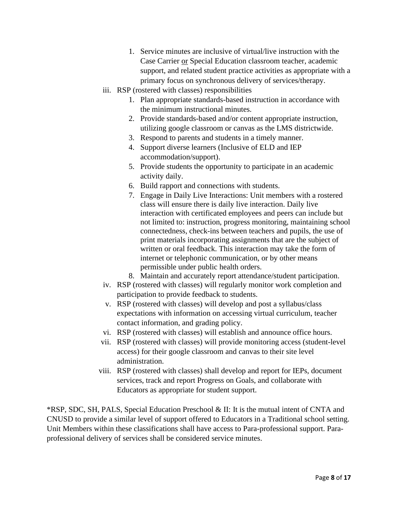- 1. Service minutes are inclusive of virtual/live instruction with the Case Carrier or Special Education classroom teacher, academic support, and related student practice activities as appropriate with a primary focus on synchronous delivery of services/therapy.
- iii. RSP (rostered with classes) responsibilities
	- 1. Plan appropriate standards-based instruction in accordance with the minimum instructional minutes.
	- 2. Provide standards-based and/or content appropriate instruction, utilizing google classroom or canvas as the LMS districtwide.
	- 3. Respond to parents and students in a timely manner.
	- 4. Support diverse learners (Inclusive of ELD and IEP accommodation/support).
	- 5. Provide students the opportunity to participate in an academic activity daily.
	- 6. Build rapport and connections with students.
	- 7. Engage in Daily Live Interactions: Unit members with a rostered class will ensure there is daily live interaction. Daily live interaction with certificated employees and peers can include but not limited to: instruction, progress monitoring, maintaining school connectedness, check-ins between teachers and pupils, the use of print materials incorporating assignments that are the subject of written or oral feedback. This interaction may take the form of internet or telephonic communication, or by other means permissible under public health orders.
	- 8. Maintain and accurately report attendance/student participation.
- iv. RSP (rostered with classes) will regularly monitor work completion and participation to provide feedback to students.
- v. RSP (rostered with classes) will develop and post a syllabus/class expectations with information on accessing virtual curriculum, teacher contact information, and grading policy.
- vi. RSP (rostered with classes) will establish and announce office hours.
- vii. RSP (rostered with classes) will provide monitoring access (student-level access) for their google classroom and canvas to their site level administration.
- viii. RSP (rostered with classes) shall develop and report for IEPs, document services, track and report Progress on Goals, and collaborate with Educators as appropriate for student support.

\*RSP, SDC, SH, PALS, Special Education Preschool & II: It is the mutual intent of CNTA and CNUSD to provide a similar level of support offered to Educators in a Traditional school setting. Unit Members within these classifications shall have access to Para-professional support. Paraprofessional delivery of services shall be considered service minutes.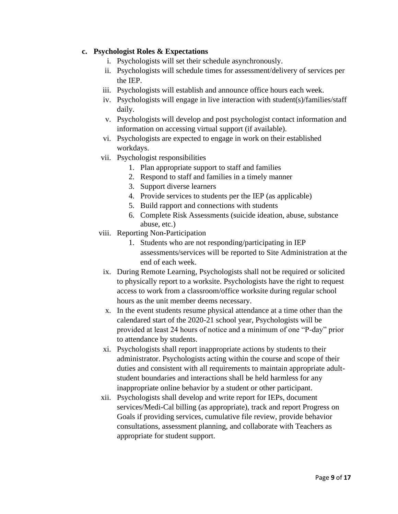## **c. Psychologist Roles & Expectations**

- i. Psychologists will set their schedule asynchronously.
- ii. Psychologists will schedule times for assessment/delivery of services per the IEP.
- iii. Psychologists will establish and announce office hours each week.
- iv. Psychologists will engage in live interaction with student(s)/families/staff daily.
- v. Psychologists will develop and post psychologist contact information and information on accessing virtual support (if available).
- vi. Psychologists are expected to engage in work on their established workdays.
- vii. Psychologist responsibilities
	- 1. Plan appropriate support to staff and families
	- 2. Respond to staff and families in a timely manner
	- 3. Support diverse learners
	- 4. Provide services to students per the IEP (as applicable)
	- 5. Build rapport and connections with students
	- 6. Complete Risk Assessments (suicide ideation, abuse, substance abuse, etc.)
- viii. Reporting Non-Participation
	- 1. Students who are not responding/participating in IEP assessments/services will be reported to Site Administration at the end of each week.
	- ix. During Remote Learning, Psychologists shall not be required or solicited to physically report to a worksite. Psychologists have the right to request access to work from a classroom/office worksite during regular school hours as the unit member deems necessary.
	- x. In the event students resume physical attendance at a time other than the calendared start of the 2020-21 school year, Psychologists will be provided at least 24 hours of notice and a minimum of one "P-day" prior to attendance by students.
	- xi. Psychologists shall report inappropriate actions by students to their administrator. Psychologists acting within the course and scope of their duties and consistent with all requirements to maintain appropriate adultstudent boundaries and interactions shall be held harmless for any inappropriate online behavior by a student or other participant.
- xii. Psychologists shall develop and write report for IEPs, document services/Medi-Cal billing (as appropriate), track and report Progress on Goals if providing services, cumulative file review, provide behavior consultations, assessment planning, and collaborate with Teachers as appropriate for student support.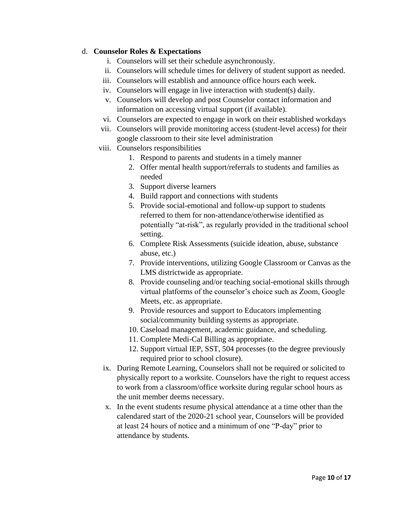## d. **Counselor Roles & Expectations**

- i. Counselors will set their schedule asynchronously.
- ii. Counselors will schedule times for delivery of student support as needed.
- iii. Counselors will establish and announce office hours each week.
- iv. Counselors will engage in live interaction with student(s) daily.
- v. Counselors will develop and post Counselor contact information and information on accessing virtual support (if available).
- vi. Counselors are expected to engage in work on their established workdays
- vii. Counselors will provide monitoring access (student-level access) for their google classroom to their site level administration
- viii. Counselors responsibilities
	- 1. Respond to parents and students in a timely manner
	- 2. Offer mental health support/referrals to students and families as needed
	- 3. Support diverse learners
	- 4. Build rapport and connections with students
	- 5. Provide social-emotional and follow-up support to students referred to them for non-attendance/otherwise identified as potentially "at-risk", as regularly provided in the traditional school setting.
	- 6. Complete Risk Assessments (suicide ideation, abuse, substance abuse, etc.)
	- 7. Provide interventions, utilizing Google Classroom or Canvas as the LMS districtwide as appropriate.
	- 8. Provide counseling and/or teaching social-emotional skills through virtual platforms of the counselor's choice such as Zoom, Google Meets, etc. as appropriate.
	- 9. Provide resources and support to Educators implementing social/community building systems as appropriate.
	- 10. Caseload management, academic guidance, and scheduling.
	- 11. Complete Medi-Cal Billing as appropriate.
	- 12. Support virtual IEP, SST, 504 processes (to the degree previously required prior to school closure).
	- ix. During Remote Learning, Counselors shall not be required or solicited to physically report to a worksite. Counselors have the right to request access to work from a classroom/office worksite during regular school hours as the unit member deems necessary.
	- x. In the event students resume physical attendance at a time other than the calendared start of the 2020-21 school year, Counselors will be provided at least 24 hours of notice and a minimum of one "P-day" prior to attendance by students.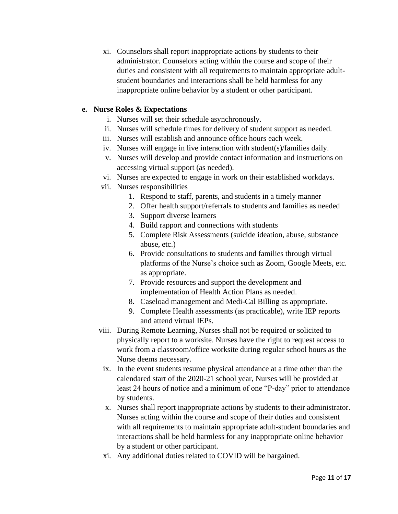xi. Counselors shall report inappropriate actions by students to their administrator. Counselors acting within the course and scope of their duties and consistent with all requirements to maintain appropriate adultstudent boundaries and interactions shall be held harmless for any inappropriate online behavior by a student or other participant.

### **e. Nurse Roles & Expectations**

- i. Nurses will set their schedule asynchronously.
- ii. Nurses will schedule times for delivery of student support as needed.
- iii. Nurses will establish and announce office hours each week.
- iv. Nurses will engage in live interaction with student(s)/families daily.
- v. Nurses will develop and provide contact information and instructions on accessing virtual support (as needed).
- vi. Nurses are expected to engage in work on their established workdays.
- vii. Nurses responsibilities
	- 1. Respond to staff, parents, and students in a timely manner
	- 2. Offer health support/referrals to students and families as needed
	- 3. Support diverse learners
	- 4. Build rapport and connections with students
	- 5. Complete Risk Assessments (suicide ideation, abuse, substance abuse, etc.)
	- 6. Provide consultations to students and families through virtual platforms of the Nurse's choice such as Zoom, Google Meets, etc. as appropriate.
	- 7. Provide resources and support the development and implementation of Health Action Plans as needed.
	- 8. Caseload management and Medi-Cal Billing as appropriate.
	- 9. Complete Health assessments (as practicable), write IEP reports and attend virtual IEPs.
- viii. During Remote Learning, Nurses shall not be required or solicited to physically report to a worksite. Nurses have the right to request access to work from a classroom/office worksite during regular school hours as the Nurse deems necessary.
	- ix. In the event students resume physical attendance at a time other than the calendared start of the 2020-21 school year, Nurses will be provided at least 24 hours of notice and a minimum of one "P-day" prior to attendance by students.
	- x. Nurses shall report inappropriate actions by students to their administrator. Nurses acting within the course and scope of their duties and consistent with all requirements to maintain appropriate adult-student boundaries and interactions shall be held harmless for any inappropriate online behavior by a student or other participant.
	- xi. Any additional duties related to COVID will be bargained.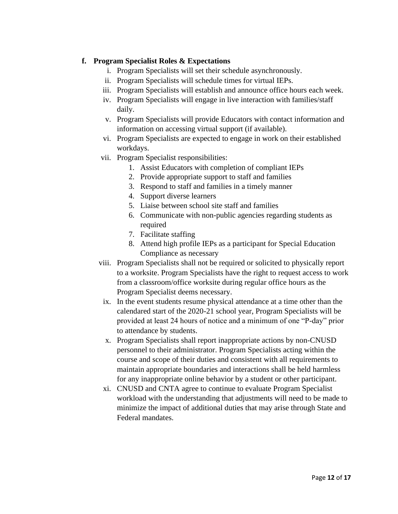## **f. Program Specialist Roles & Expectations**

- i. Program Specialists will set their schedule asynchronously.
- ii. Program Specialists will schedule times for virtual IEPs.
- iii. Program Specialists will establish and announce office hours each week.
- iv. Program Specialists will engage in live interaction with families/staff daily.
- v. Program Specialists will provide Educators with contact information and information on accessing virtual support (if available).
- vi. Program Specialists are expected to engage in work on their established workdays.
- vii. Program Specialist responsibilities:
	- 1. Assist Educators with completion of compliant IEPs
	- 2. Provide appropriate support to staff and families
	- 3. Respond to staff and families in a timely manner
	- 4. Support diverse learners
	- 5. Liaise between school site staff and families
	- 6. Communicate with non-public agencies regarding students as required
	- 7. Facilitate staffing
	- 8. Attend high profile IEPs as a participant for Special Education Compliance as necessary
- viii. Program Specialists shall not be required or solicited to physically report to a worksite. Program Specialists have the right to request access to work from a classroom/office worksite during regular office hours as the Program Specialist deems necessary.
- ix. In the event students resume physical attendance at a time other than the calendared start of the 2020-21 school year, Program Specialists will be provided at least 24 hours of notice and a minimum of one "P-day" prior to attendance by students.
- x. Program Specialists shall report inappropriate actions by non-CNUSD personnel to their administrator. Program Specialists acting within the course and scope of their duties and consistent with all requirements to maintain appropriate boundaries and interactions shall be held harmless for any inappropriate online behavior by a student or other participant.
- xi. CNUSD and CNTA agree to continue to evaluate Program Specialist workload with the understanding that adjustments will need to be made to minimize the impact of additional duties that may arise through State and Federal mandates.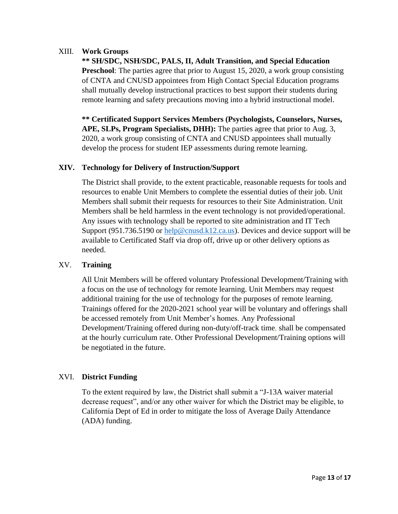## XIII. **Work Groups**

**\*\* SH/SDC, NSH/SDC, PALS, II, Adult Transition, and Special Education Preschool**: The parties agree that prior to August 15, 2020, a work group consisting of CNTA and CNUSD appointees from High Contact Special Education programs shall mutually develop instructional practices to best support their students during remote learning and safety precautions moving into a hybrid instructional model.

**\*\* Certificated Support Services Members (Psychologists, Counselors, Nurses, APE, SLPs, Program Specialists, DHH):** The parties agree that prior to Aug. 3, 2020, a work group consisting of CNTA and CNUSD appointees shall mutually develop the process for student IEP assessments during remote learning.

## **XIV. Technology for Delivery of Instruction/Support**

The District shall provide, to the extent practicable, reasonable requests for tools and resources to enable Unit Members to complete the essential duties of their job. Unit Members shall submit their requests for resources to their Site Administration. Unit Members shall be held harmless in the event technology is not provided/operational. Any issues with technology shall be reported to site administration and IT Tech Support (951.736.5190 or [help@cnusd.k12.ca.us\)](mailto:help@cnusd.k12.ca.us). Devices and device support will be available to Certificated Staff via drop off, drive up or other delivery options as needed.

## XV. **Training**

All Unit Members will be offered voluntary Professional Development/Training with a focus on the use of technology for remote learning. Unit Members may request additional training for the use of technology for the purposes of remote learning. Trainings offered for the 2020-2021 school year will be voluntary and offerings shall be accessed remotely from Unit Member's homes. Any Professional Development/Training offered during non-duty/off-track time, shall be compensated at the hourly curriculum rate. Other Professional Development/Training options will be negotiated in the future.

## XVI. **District Funding**

To the extent required by law, the District shall submit a "J-13A waiver material decrease request", and/or any other waiver for which the District may be eligible, to California Dept of Ed in order to mitigate the loss of Average Daily Attendance (ADA) funding.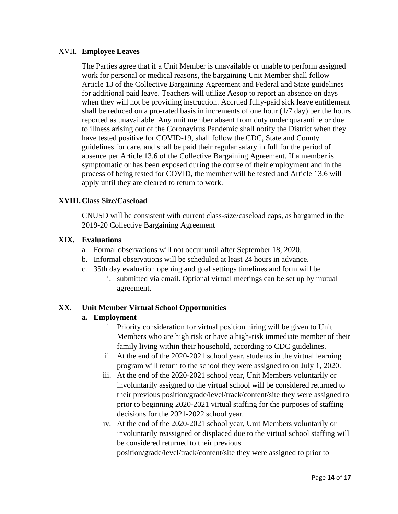#### XVII. **Employee Leaves**

The Parties agree that if a Unit Member is unavailable or unable to perform assigned work for personal or medical reasons, the bargaining Unit Member shall follow Article 13 of the Collective Bargaining Agreement and Federal and State guidelines for additional paid leave. Teachers will utilize Aesop to report an absence on days when they will not be providing instruction. Accrued fully-paid sick leave entitlement shall be reduced on a pro-rated basis in increments of one hour (1/7 day) per the hours reported as unavailable. Any unit member absent from duty under quarantine or due to illness arising out of the Coronavirus Pandemic shall notify the District when they have tested positive for COVID-19, shall follow the CDC, State and County guidelines for care, and shall be paid their regular salary in full for the period of absence per Article 13.6 of the Collective Bargaining Agreement. If a member is symptomatic or has been exposed during the course of their employment and in the process of being tested for COVID, the member will be tested and Article 13.6 will apply until they are cleared to return to work.

### **XVIII.Class Size/Caseload**

CNUSD will be consistent with current class-size/caseload caps, as bargained in the 2019-20 Collective Bargaining Agreement

### **XIX. Evaluations**

- a. Formal observations will not occur until after September 18, 2020.
- b. Informal observations will be scheduled at least 24 hours in advance.
- c. 35th day evaluation opening and goal settings timelines and form will be
	- i. submitted via email. Optional virtual meetings can be set up by mutual agreement.

## **XX. Unit Member Virtual School Opportunities**

#### **a. Employment**

- i. Priority consideration for virtual position hiring will be given to Unit Members who are high risk or have a high-risk immediate member of their family living within their household, according to CDC guidelines.
- ii. At the end of the 2020-2021 school year, students in the virtual learning program will return to the school they were assigned to on July 1, 2020.
- iii. At the end of the 2020-2021 school year, Unit Members voluntarily or involuntarily assigned to the virtual school will be considered returned to their previous position/grade/level/track/content/site they were assigned to prior to beginning 2020-2021 virtual staffing for the purposes of staffing decisions for the 2021-2022 school year.
- iv. At the end of the 2020-2021 school year, Unit Members voluntarily or involuntarily reassigned or displaced due to the virtual school staffing will be considered returned to their previous

position/grade/level/track/content/site they were assigned to prior to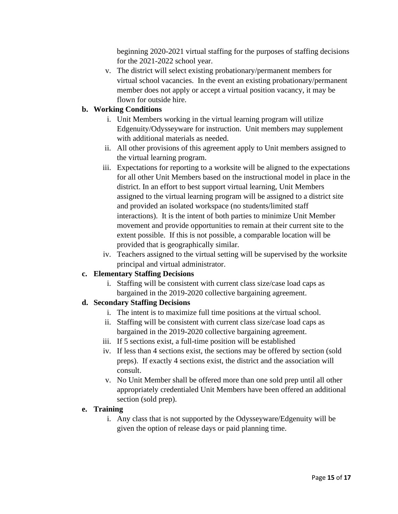beginning 2020-2021 virtual staffing for the purposes of staffing decisions for the 2021-2022 school year.

v. The district will select existing probationary/permanent members for virtual school vacancies. In the event an existing probationary/permanent member does not apply or accept a virtual position vacancy, it may be flown for outside hire.

# **b. Working Conditions**

- i. Unit Members working in the virtual learning program will utilize Edgenuity/Odysseyware for instruction. Unit members may supplement with additional materials as needed.
- ii. All other provisions of this agreement apply to Unit members assigned to the virtual learning program.
- iii. Expectations for reporting to a worksite will be aligned to the expectations for all other Unit Members based on the instructional model in place in the district. In an effort to best support virtual learning, Unit Members assigned to the virtual learning program will be assigned to a district site and provided an isolated workspace (no students/limited staff interactions). It is the intent of both parties to minimize Unit Member movement and provide opportunities to remain at their current site to the extent possible. If this is not possible, a comparable location will be provided that is geographically similar.
- iv. Teachers assigned to the virtual setting will be supervised by the worksite principal and virtual administrator.

## **c. Elementary Staffing Decisions**

i. Staffing will be consistent with current class size/case load caps as bargained in the 2019-2020 collective bargaining agreement.

# **d. Secondary Staffing Decisions**

- i. The intent is to maximize full time positions at the virtual school.
- ii. Staffing will be consistent with current class size/case load caps as bargained in the 2019-2020 collective bargaining agreement.
- iii. If 5 sections exist, a full-time position will be established
- iv. If less than 4 sections exist, the sections may be offered by section (sold preps). If exactly 4 sections exist, the district and the association will consult.
- v. No Unit Member shall be offered more than one sold prep until all other appropriately credentialed Unit Members have been offered an additional section (sold prep).

## **e. Training**

i. Any class that is not supported by the Odysseyware/Edgenuity will be given the option of release days or paid planning time.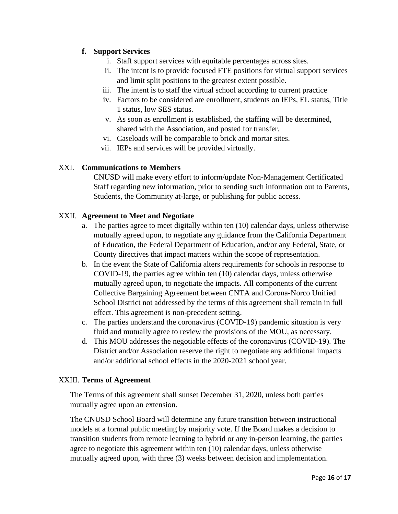# **f. Support Services**

- i. Staff support services with equitable percentages across sites.
- ii. The intent is to provide focused FTE positions for virtual support services and limit split positions to the greatest extent possible.
- iii. The intent is to staff the virtual school according to current practice
- iv. Factors to be considered are enrollment, students on IEPs, EL status, Title 1 status, low SES status.
- v. As soon as enrollment is established, the staffing will be determined, shared with the Association, and posted for transfer.
- vi. Caseloads will be comparable to brick and mortar sites.
- vii. IEPs and services will be provided virtually.

# XXI. **Communications to Members**

CNUSD will make every effort to inform/update Non-Management Certificated Staff regarding new information, prior to sending such information out to Parents, Students, the Community at-large, or publishing for public access.

## XXII. **Agreement to Meet and Negotiate**

- a. The parties agree to meet digitally within ten (10) calendar days, unless otherwise mutually agreed upon, to negotiate any guidance from the California Department of Education, the Federal Department of Education, and/or any Federal, State, or County directives that impact matters within the scope of representation.
- b. In the event the State of California alters requirements for schools in response to COVID-19, the parties agree within ten (10) calendar days, unless otherwise mutually agreed upon, to negotiate the impacts. All components of the current Collective Bargaining Agreement between CNTA and Corona-Norco Unified School District not addressed by the terms of this agreement shall remain in full effect. This agreement is non-precedent setting.
- c. The parties understand the coronavirus (COVID-19) pandemic situation is very fluid and mutually agree to review the provisions of the MOU, as necessary.
- d. This MOU addresses the negotiable effects of the coronavirus (COVID-19). The District and/or Association reserve the right to negotiate any additional impacts and/or additional school effects in the 2020-2021 school year.

## XXIII. **Terms of Agreement**

The Terms of this agreement shall sunset December 31, 2020, unless both parties mutually agree upon an extension.

The CNUSD School Board will determine any future transition between instructional models at a formal public meeting by majority vote. If the Board makes a decision to transition students from remote learning to hybrid or any in-person learning, the parties agree to negotiate this agreement within ten (10) calendar days, unless otherwise mutually agreed upon, with three (3) weeks between decision and implementation.